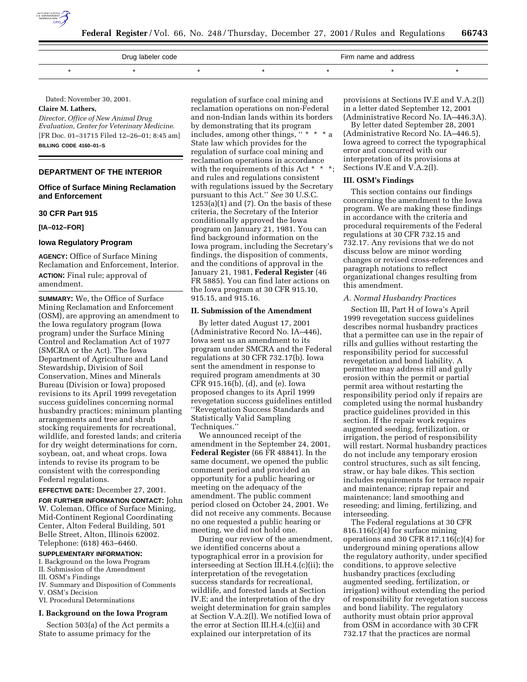

| Drug labeler code |  |  |  | Firm name and address |  |  |
|-------------------|--|--|--|-----------------------|--|--|
|                   |  |  |  |                       |  |  |

Dated: November 30, 2001.

# **Claire M. Lathers,**

*Director, Office of New Animal Drug Evaluation, Center for Veterinary Medicine.* [FR Doc. 01–31715 Filed 12–26–01; 8:45 am] **BILLING CODE 4160–01–S**

#### **DEPARTMENT OF THE INTERIOR**

# **Office of Surface Mining Reclamation and Enforcement**

# **30 CFR Part 915**

**[IA–012–FOR]**

#### **Iowa Regulatory Program**

**AGENCY:** Office of Surface Mining Reclamation and Enforcement, Interior. **ACTION:** Final rule; approval of amendment.

**SUMMARY:** We, the Office of Surface Mining Reclamation and Enforcement (OSM), are approving an amendment to the Iowa regulatory program (Iowa program) under the Surface Mining Control and Reclamation Act of 1977 (SMCRA or the Act). The Iowa Department of Agriculture and Land Stewardship, Division of Soil Conservation, Mines and Minerals Bureau (Division or Iowa) proposed revisions to its April 1999 revegetation success guidelines concerning normal husbandry practices; minimum planting arrangements and tree and shrub stocking requirements for recreational, wildlife, and forested lands; and criteria for dry weight determinations for corn, soybean, oat, and wheat crops. Iowa intends to revise its program to be consistent with the corresponding Federal regulations.

### **EFFECTIVE DATE:** December 27, 2001.

**FOR FURTHER INFORMATION CONTACT:** John W. Coleman, Office of Surface Mining, Mid-Continent Regional Coordinating Center, Alton Federal Building, 501 Belle Street, Alton, Illinois 62002. Telephone: (618) 463–6460.

# **SUPPLEMENTARY INFORMATION:**

I. Background on the Iowa Program

- II. Submission of the Amendment
- III. OSM's Findings
- IV. Summary and Disposition of Comments V. OSM's Decision
- VI. Procedural Determinations

#### **I. Background on the Iowa Program**

Section 503(a) of the Act permits a State to assume primacy for the

regulation of surface coal mining and reclamation operations on non-Federal and non-Indian lands within its borders by demonstrating that its program includes, among other things, " \* State law which provides for the regulation of surface coal mining and reclamation operations in accordance with the requirements of this Act \* \* \*; and rules and regulations consistent with regulations issued by the Secretary pursuant to this Act.'' *See* 30 U.S.C.  $1253(a)(1)$  and  $(7)$ . On the basis of these criteria, the Secretary of the Interior conditionally approved the Iowa program on January 21, 1981. You can find background information on the Iowa program, including the Secretary's findings, the disposition of comments, and the conditions of approval in the January 21, 1981, **Federal Register** (46 FR 5885). You can find later actions on the Iowa program at 30 CFR 915.10, 915.15, and 915.16.

#### **II. Submission of the Amendment**

By letter dated August 17, 2001 (Administrative Record No. IA–446), Iowa sent us an amendment to its program under SMCRA and the Federal regulations at 30 CFR 732.17(b). Iowa sent the amendment in response to required program amendments at 30 CFR 915.16(b), (d), and (e). Iowa proposed changes to its April 1999 revegetation success guidelines entitled ''Revegetation Success Standards and Statistically Valid Sampling Techniques.''

We announced receipt of the amendment in the September 24, 2001, **Federal Register** (66 FR 48841). In the same document, we opened the public comment period and provided an opportunity for a public hearing or meeting on the adequacy of the amendment. The public comment period closed on October 24, 2001. We did not receive any comments. Because no one requested a public hearing or meeting, we did not hold one.

During our review of the amendment, we identified concerns about a typographical error in a provision for interseeding at Section III.H.4.(c)(ii); the interpretation of the revegetation success standards for recreational, wildlife, and forested lands at Section IV.E; and the interpretation of the dry weight determination for grain samples at Section V.A.2(l). We notified Iowa of the error at Section III.H.4.(c)(ii) and explained our interpretation of its

provisions at Sections IV.E and V.A.2(l) in a letter dated September 12, 2001 (Administrative Record No. IA–446.3A).

By letter dated September 28, 2001 (Administrative Record No. IA–446.5), Iowa agreed to correct the typographical error and concurred with our interpretation of its provisions at Sections IV.E and V.A.2(l).

## **III. OSM's Findings**

This section contains our findings concerning the amendment to the Iowa program. We are making these findings in accordance with the criteria and procedural requirements of the Federal regulations at 30 CFR 732.15 and 732.17. Any revisions that we do not discuss below are minor wording changes or revised cross-references and paragraph notations to reflect organizational changes resulting from this amendment.

# *A. Normal Husbandry Practices*

Section III, Part H of Iowa's April 1999 revegetation success guidelines describes normal husbandry practices that a permittee can use in the repair of rills and gullies without restarting the responsibility period for successful revegetation and bond liability. A permittee may address rill and gully erosion within the permit or partial permit area without restarting the responsibility period only if repairs are completed using the normal husbandry practice guidelines provided in this section. If the repair work requires augmented seeding, fertilization, or irrigation, the period of responsibility will restart. Normal husbandry practices do not include any temporary erosion control structures, such as silt fencing, straw, or hay bale dikes. This section includes requirements for terrace repair and maintenance; riprap repair and maintenance; land smoothing and reseeding; and liming, fertilizing, and interseeding.

The Federal regulations at 30 CFR 816.116(c)(4) for surface mining operations and 30 CFR 817.116(c)(4) for underground mining operations allow the regulatory authority, under specified conditions, to approve selective husbandry practices (excluding augmented seeding, fertilization, or irrigation) without extending the period of responsibility for revegetation success and bond liability. The regulatory authority must obtain prior approval from OSM in accordance with 30 CFR 732.17 that the practices are normal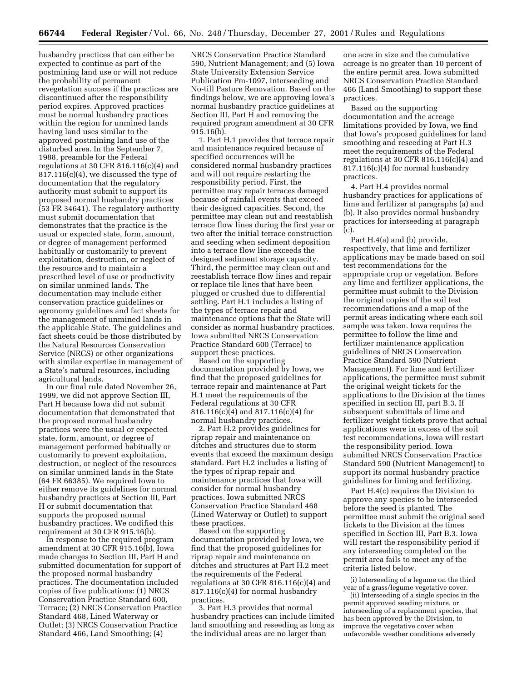husbandry practices that can either be expected to continue as part of the postmining land use or will not reduce the probability of permanent revegetation success if the practices are discontinued after the responsibility period expires. Approved practices must be normal husbandry practices within the region for unmined lands having land uses similar to the approved postmining land use of the disturbed area. In the September 7, 1988, preamble for the Federal regulations at 30 CFR 816.116 $(c)(4)$  and 817.116(c)(4), we discussed the type of documentation that the regulatory authority must submit to support its proposed normal husbandry practices (53 FR 34641). The regulatory authority must submit documentation that demonstrates that the practice is the usual or expected state, form, amount, or degree of management performed habitually or customarily to prevent exploitation, destruction, or neglect of the resource and to maintain a prescribed level of use or productivity on similar unmined lands. The documentation may include either conservation practice guidelines or agronomy guidelines and fact sheets for the management of unmined lands in the applicable State. The guidelines and fact sheets could be those distributed by the Natural Resources Conservation Service (NRCS) or other organizations with similar expertise in management of a State's natural resources, including agricultural lands.

In our final rule dated November 26, 1999, we did not approve Section III, Part H because Iowa did not submit documentation that demonstrated that the proposed normal husbandry practices were the usual or expected state, form, amount, or degree of management performed habitually or customarily to prevent exploitation, destruction, or neglect of the resources on similar unmined lands in the State (64 FR 66385). We required Iowa to either remove its guidelines for normal husbandry practices at Section III, Part H or submit documentation that supports the proposed normal husbandry practices. We codified this requirement at 30 CFR 915.16(b).

In response to the required program amendment at 30 CFR 915.16(b), Iowa made changes to Section III, Part H and submitted documentation for support of the proposed normal husbandry practices. The documentation included copies of five publications: (1) NRCS Conservation Practice Standard 600, Terrace; (2) NRCS Conservation Practice Standard 468, Lined Waterway or Outlet; (3) NRCS Conservation Practice Standard 466, Land Smoothing; (4)

NRCS Conservation Practice Standard 590, Nutrient Management; and (5) Iowa State University Extension Service Publication Pm-1097, Interseeding and No-till Pasture Renovation. Based on the findings below, we are approving Iowa's normal husbandry practice guidelines at Section III, Part H and removing the required program amendment at 30 CFR 915.16(b).

1. Part H.1 provides that terrace repair and maintenance required because of specified occurrences will be considered normal husbandry practices and will not require restarting the responsibility period. First, the permittee may repair terraces damaged because of rainfall events that exceed their designed capacities. Second, the permittee may clean out and reestablish terrace flow lines during the first year or two after the initial terrace construction and seeding when sediment deposition into a terrace flow line exceeds the designed sediment storage capacity. Third, the permittee may clean out and reestablish terrace flow lines and repair or replace tile lines that have been plugged or crushed due to differential settling. Part H.1 includes a listing of the types of terrace repair and maintenance options that the State will consider as normal husbandry practices. Iowa submitted NRCS Conservation Practice Standard 600 (Terrace) to support these practices.

Based on the supporting documentation provided by Iowa, we find that the proposed guidelines for terrace repair and maintenance at Part H.1 meet the requirements of the Federal regulations at 30 CFR 816.116(c)(4) and 817.116(c)(4) for normal husbandry practices.

2. Part H.2 provides guidelines for riprap repair and maintenance on ditches and structures due to storm events that exceed the maximum design standard. Part H.2 includes a listing of the types of riprap repair and maintenance practices that Iowa will consider for normal husbandry practices. Iowa submitted NRCS Conservation Practice Standard 468 (Lined Waterway or Outlet) to support these practices.

Based on the supporting documentation provided by Iowa, we find that the proposed guidelines for riprap repair and maintenance on ditches and structures at Part H.2 meet the requirements of the Federal regulations at 30 CFR 816.116(c)(4) and 817.116(c)(4) for normal husbandry practices.

3. Part H.3 provides that normal husbandry practices can include limited land smoothing and reseeding as long as the individual areas are no larger than

one acre in size and the cumulative acreage is no greater than 10 percent of the entire permit area. Iowa submitted NRCS Conservation Practice Standard 466 (Land Smoothing) to support these practices.

Based on the supporting documentation and the acreage limitations provided by Iowa, we find that Iowa's proposed guidelines for land smoothing and reseeding at Part H.3 meet the requirements of the Federal regulations at 30 CFR 816.116(c)(4) and 817.116(c)(4) for normal husbandry practices.

4. Part H.4 provides normal husbandry practices for applications of lime and fertilizer at paragraphs (a) and (b). It also provides normal husbandry practices for interseeding at paragraph (c).

Part H.4(a) and (b) provide, respectively, that lime and fertilizer applications may be made based on soil test recommendations for the appropriate crop or vegetation. Before any lime and fertilizer applications, the permittee must submit to the Division the original copies of the soil test recommendations and a map of the permit areas indicating where each soil sample was taken. Iowa requires the permittee to follow the lime and fertilizer maintenance application guidelines of NRCS Conservation Practice Standard 590 (Nutrient Management). For lime and fertilizer applications, the permittee must submit the original weight tickets for the applications to the Division at the times specified in section III, part B.3. If subsequent submittals of lime and fertilizer weight tickets prove that actual applications were in excess of the soil test recommendations, Iowa will restart the responsibility period. Iowa submitted NRCS Conservation Practice Standard 590 (Nutrient Management) to support its normal husbandry practice guidelines for liming and fertilizing.

Part H.4(c) requires the Division to approve any species to be interseeded before the seed is planted. The permittee must submit the original seed tickets to the Division at the times specified in Section III, Part B.3. Iowa will restart the responsibility period if any interseeding completed on the permit area fails to meet any of the criteria listed below.

(i) Interseeding of a legume on the third year of a grass/legume vegetative cover.

(ii) Interseeding of a single species in the permit approved seeding mixture, or interseeding of a replacement species, that has been approved by the Division, to improve the vegetative cover when unfavorable weather conditions adversely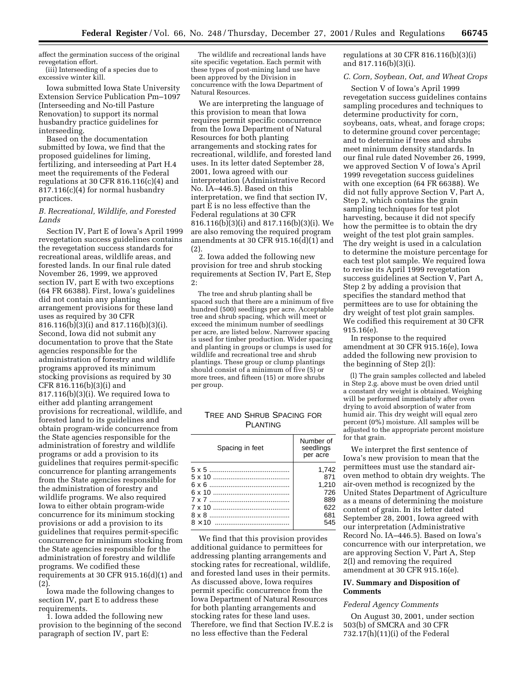affect the germination success of the original revegetation effort.

(iii) Interseeding of a species due to excessive winter kill.

Iowa submitted Iowa State University Extension Service Publication Pm–1097 (Interseeding and No-till Pasture Renovation) to support its normal husbandry practice guidelines for interseeding.

Based on the documentation submitted by Iowa, we find that the proposed guidelines for liming, fertilizing, and interseeding at Part H.4 meet the requirements of the Federal regulations at 30 CFR 816.116 $(c)(4)$  and 817.116(c)(4) for normal husbandry practices.

## *B. Recreational, Wildlife, and Forested Lands*

Section IV, Part E of Iowa's April 1999 revegetation success guidelines contains the revegetation success standards for recreational areas, wildlife areas, and forested lands. In our final rule dated November 26, 1999, we approved section IV, part E with two exceptions (64 FR 66388). First, Iowa's guidelines did not contain any planting arrangement provisions for these land uses as required by 30 CFR 816.116(b)(3)(i) and 817.116(b)(3)(i). Second, Iowa did not submit any documentation to prove that the State agencies responsible for the administration of forestry and wildlife programs approved its minimum stocking provisions as required by 30 CFR 816.116(b)(3)(i) and 817.116(b)(3)(i). We required Iowa to either add planting arrangement provisions for recreational, wildlife, and forested land to its guidelines and obtain program-wide concurrence from the State agencies responsible for the administration of forestry and wildlife programs or add a provision to its guidelines that requires permit-specific concurrence for planting arrangements from the State agencies responsible for the administration of forestry and wildlife programs. We also required Iowa to either obtain program-wide concurrence for its minimum stocking provisions or add a provision to its guidelines that requires permit-specific concurrence for minimum stocking from the State agencies responsible for the administration of forestry and wildlife programs. We codified these requirements at 30 CFR 915.16(d)(1) and (2).

Iowa made the following changes to section IV, part E to address these requirements.

1. Iowa added the following new provision to the beginning of the second paragraph of section IV, part E:

The wildlife and recreational lands have site specific vegetation. Each permit with these types of post-mining land use have been approved by the Division in concurrence with the Iowa Department of Natural Resources.

We are interpreting the language of this provision to mean that Iowa requires permit specific concurrence from the Iowa Department of Natural Resources for both planting arrangements and stocking rates for recreational, wildlife, and forested land uses. In its letter dated September 28, 2001, Iowa agreed with our interpretation (Administrative Record No. IA–446.5). Based on this interpretation, we find that section IV, part E is no less effective than the Federal regulations at 30 CFR 816.116(b)(3)(i) and 817.116(b)(3)(i). We are also removing the required program amendments at 30 CFR 915.16(d)(1) and (2).

2. Iowa added the following new provision for tree and shrub stocking requirements at Section IV, Part E, Step 2:

The tree and shrub planting shall be spaced such that there are a minimum of five hundred (500) seedlings per acre. Acceptable tree and shrub spacing, which will meet or exceed the minimum number of seedlings per acre, are listed below. Narrower spacing is used for timber production. Wider spacing and planting in groups or clumps is used for wildlife and recreational tree and shrub plantings. These group or clump plantings should consist of a minimum of five (5) or more trees, and fifteen (15) or more shrubs per group.

# TREE AND SHRUB SPACING FOR PLANTING

| Spacing in feet | Number of<br>seedlings<br>per acre |
|-----------------|------------------------------------|
|                 | 1,742                              |
|                 | 871                                |
|                 | 1.210                              |
|                 | 726                                |
|                 | 889                                |
|                 | 622                                |
|                 | 681                                |
| $8 \times 10$   | 545                                |

We find that this provision provides additional guidance to permittees for addressing planting arrangements and stocking rates for recreational, wildlife, and forested land uses in their permits. As discussed above, Iowa requires permit specific concurrence from the Iowa Department of Natural Resources for both planting arrangements and stocking rates for these land uses. Therefore, we find that Section IV.E.2 is no less effective than the Federal

regulations at 30 CFR 816.116(b)(3)(i) and 817.116(b)(3)(i).

### *C. Corn, Soybean, Oat, and Wheat Crops*

Section V of Iowa's April 1999 revegetation success guidelines contains sampling procedures and techniques to determine productivity for corn, soybeans, oats, wheat, and forage crops; to determine ground cover percentage; and to determine if trees and shrubs meet minimum density standards. In our final rule dated November 26, 1999, we approved Section V of Iowa's April 1999 revegetation success guidelines with one exception (64 FR 66388). We did not fully approve Section V, Part A, Step 2, which contains the grain sampling techniques for test plot harvesting, because it did not specify how the permittee is to obtain the dry weight of the test plot grain samples. The dry weight is used in a calculation to determine the moisture percentage for each test plot sample. We required Iowa to revise its April 1999 revegetation success guidelines at Section V, Part A, Step 2 by adding a provision that specifies the standard method that permittees are to use for obtaining the dry weight of test plot grain samples. We codified this requirement at 30 CFR 915.16(e).

In response to the required amendment at 30 CFR 915.16(e), Iowa added the following new provision to the beginning of Step 2(l):

(l) The grain samples collected and labeled in Step 2.g. above must be oven dried until a constant dry weight is obtained. Weighing will be performed immediately after oven drying to avoid absorption of water from humid air. This dry weight will equal zero percent (0%) moisture. All samples will be adjusted to the appropriate percent moisture for that grain.

We interpret the first sentence of Iowa's new provision to mean that the permittees must use the standard airoven method to obtain dry weights. The air-oven method is recognized by the United States Department of Agriculture as a means of determining the moisture content of grain. In its letter dated September 28, 2001, Iowa agreed with our interpretation (Administrative Record No. IA–446.5). Based on Iowa's concurrence with our interpretation, we are approving Section V, Part A, Step 2(l) and removing the required amendment at 30 CFR 915.16(e).

### **IV. Summary and Disposition of Comments**

# *Federal Agency Comments*

On August 30, 2001, under section 503(b) of SMCRA and 30 CFR 732.17(h)(11)(i) of the Federal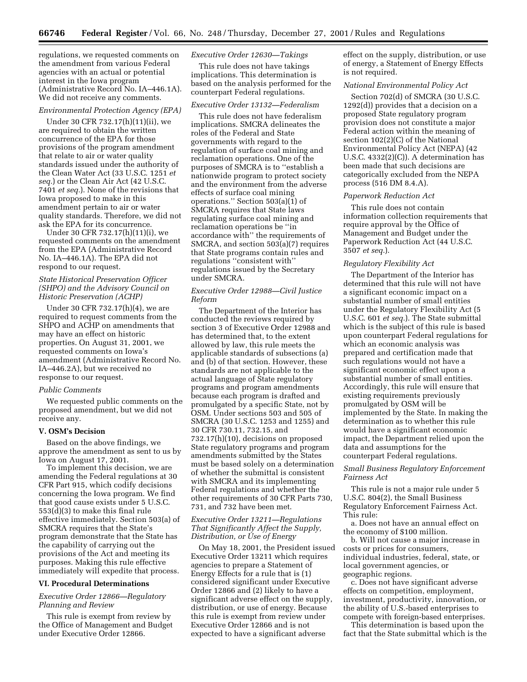regulations, we requested comments on the amendment from various Federal agencies with an actual or potential interest in the Iowa program (Administrative Record No. IA–446.1A). We did not receive any comments.

#### *Environmental Protection Agency (EPA)*

Under 30 CFR 732.17(h)(11)(ii), we are required to obtain the written concurrence of the EPA for those provisions of the program amendment that relate to air or water quality standards issued under the authority of the Clean Water Act (33 U.S.C. 1251 *et seq.*) or the Clean Air Act (42 U.S.C. 7401 *et seq.*). None of the revisions that Iowa proposed to make in this amendment pertain to air or water quality standards. Therefore, we did not ask the EPA for its concurrence.

Under 30 CFR 732.17(h)(11)(i), we requested comments on the amendment from the EPA (Administrative Record No. IA–446.1A). The EPA did not respond to our request.

# *State Historical Preservation Officer (SHPO) and the Advisory Council on Historic Preservation (ACHP)*

Under 30 CFR 732.17(h)(4), we are required to request comments from the SHPO and ACHP on amendments that may have an effect on historic properties. On August 31, 2001, we requested comments on Iowa's amendment (Administrative Record No. IA–446.2A), but we received no response to our request.

#### *Public Comments*

We requested public comments on the proposed amendment, but we did not receive any.

#### **V. OSM's Decision**

Based on the above findings, we approve the amendment as sent to us by Iowa on August 17, 2001.

To implement this decision, we are amending the Federal regulations at 30 CFR Part 915, which codify decisions concerning the Iowa program. We find that good cause exists under 5 U.S.C. 553(d)(3) to make this final rule effective immediately. Section 503(a) of SMCRA requires that the State's program demonstrate that the State has the capability of carrying out the provisions of the Act and meeting its purposes. Making this rule effective immediately will expedite that process.

#### **VI. Procedural Determinations**

# *Executive Order 12866—Regulatory Planning and Review*

This rule is exempt from review by the Office of Management and Budget under Executive Order 12866.

## *Executive Order 12630—Takings*

This rule does not have takings implications. This determination is based on the analysis performed for the counterpart Federal regulations.

# *Executive Order 13132—Federalism*

This rule does not have federalism implications. SMCRA delineates the roles of the Federal and State governments with regard to the regulation of surface coal mining and reclamation operations. One of the purposes of SMCRA is to ''establish a nationwide program to protect society and the environment from the adverse effects of surface coal mining operations.'' Section 503(a)(1) of SMCRA requires that State laws regulating surface coal mining and reclamation operations be ''in accordance with'' the requirements of SMCRA, and section 503(a)(7) requires that State programs contain rules and regulations ''consistent with'' regulations issued by the Secretary under SMCRA.

# *Executive Order 12988—Civil Justice Reform*

The Department of the Interior has conducted the reviews required by section 3 of Executive Order 12988 and has determined that, to the extent allowed by law, this rule meets the applicable standards of subsections (a) and (b) of that section. However, these standards are not applicable to the actual language of State regulatory programs and program amendments because each program is drafted and promulgated by a specific State, not by OSM. Under sections 503 and 505 of SMCRA (30 U.S.C. 1253 and 1255) and 30 CFR 730.11, 732.15, and 732.17(h)(10), decisions on proposed State regulatory programs and program amendments submitted by the States must be based solely on a determination of whether the submittal is consistent with SMCRA and its implementing Federal regulations and whether the other requirements of 30 CFR Parts 730, 731, and 732 have been met.

# *Executive Order 13211—Regulations That Significantly Affect the Supply, Distribution, or Use of Energy*

On May 18, 2001, the President issued Executive Order 13211 which requires agencies to prepare a Statement of Energy Effects for a rule that is (1) considered significant under Executive Order 12866 and (2) likely to have a significant adverse effect on the supply, distribution, or use of energy. Because this rule is exempt from review under Executive Order 12866 and is not expected to have a significant adverse

effect on the supply, distribution, or use of energy, a Statement of Energy Effects is not required.

## *National Environmental Policy Act*

Section 702(d) of SMCRA (30 U.S.C. 1292(d)) provides that a decision on a proposed State regulatory program provision does not constitute a major Federal action within the meaning of section 102(2)(C) of the National Environmental Policy Act (NEPA) (42 U.S.C. 4332(2)(C)). A determination has been made that such decisions are categorically excluded from the NEPA process (516 DM 8.4.A).

## *Paperwork Reduction Act*

This rule does not contain information collection requirements that require approval by the Office of Management and Budget under the Paperwork Reduction Act (44 U.S.C. 3507 *et seq.*).

### *Regulatory Flexibility Act*

The Department of the Interior has determined that this rule will not have a significant economic impact on a substantial number of small entities under the Regulatory Flexibility Act (5 U.S.C. 601 *et seq.*). The State submittal which is the subject of this rule is based upon counterpart Federal regulations for which an economic analysis was prepared and certification made that such regulations would not have a significant economic effect upon a substantial number of small entities. Accordingly, this rule will ensure that existing requirements previously promulgated by OSM will be implemented by the State. In making the determination as to whether this rule would have a significant economic impact, the Department relied upon the data and assumptions for the counterpart Federal regulations.

## *Small Business Regulatory Enforcement Fairness Act*

This rule is not a major rule under 5 U.S.C. 804(2), the Small Business Regulatory Enforcement Fairness Act. This rule:

a. Does not have an annual effect on the economy of \$100 million.

b. Will not cause a major increase in costs or prices for consumers, individual industries, federal, state, or local government agencies, or geographic regions.

c. Does not have significant adverse effects on competition, employment, investment, productivity, innovation, or the ability of U.S.-based enterprises to compete with foreign-based enterprises.

This determination is based upon the fact that the State submittal which is the